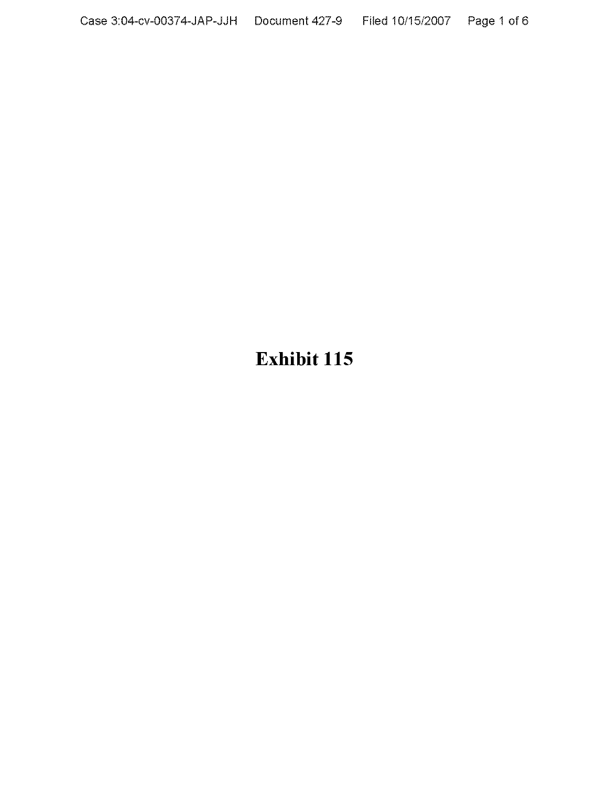# **Exhibit 115**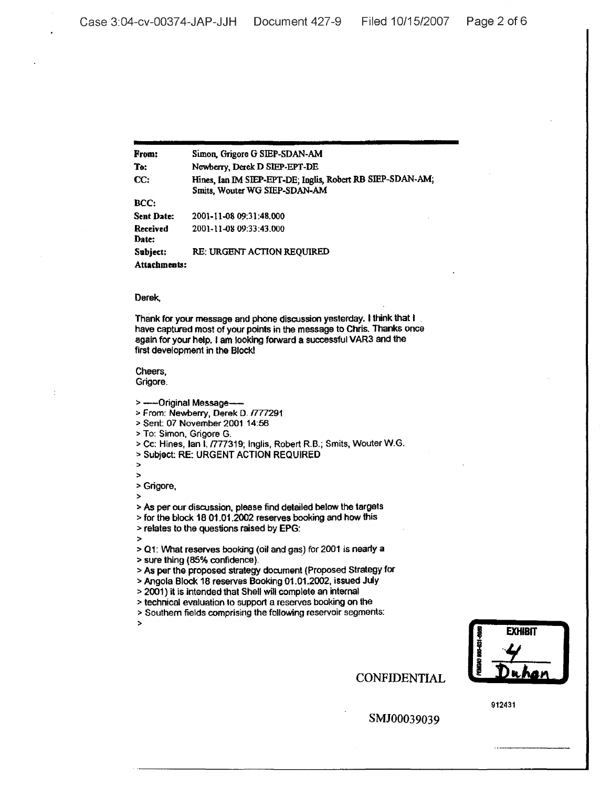From: To: CC: BCC: Sent Date: Received Date: Subject: Simon, Grigore G SIEP-SDAN·AM Newbeny, Derek D SlEP·EPT-DE Hines, Ian IM SIEP-EPT-DE; Inglis, Robert RB SIEP-SDAN-AM; Smits, WouterWG SIEP-SDAN-AM 2001-11-0809:31:48.000 2001-11-0809:33:43.000 RE: URGENT ACTION REQUIRED

Attachments:

#### Derek,

Thank for your message and phone discussion yesterday. Ithink that I have captured most of your points in the message to Chris. Thanks once again for your help. I am looking forward a successful VAR3 and the first development in the Block!

#### Cheers, Grigore.

> ----- Original Message-

- > From: Newberry, Derek D. *fl77291*
- :;. Sent: 07 November 2001 14:56
- > To: Simon, Grigore G.
- > Cc: Hines, Ian I. /777319; Inglis, Robert R.B.; Smits, Wouter W.G.
- :>0 Subject: RE: URGENT ACTION REQUIRED

 $\overline{a}$ >

:> Grigore,

:>

> As per our discussion, please find detailed below the targets

- >for the block 18 01.01.2002 reserves booking and how this
- > relates to the questions raised by EPG:

>

- :> Q1: VVhat reserves booking (oil and gas) for 2001 is nearly a
- :> sure thing (85% confidence). .
- :> As per the proposed strategy document (Proposed Strategy for
- > Angola Block 18 reserves Booking 01.01.2002, issued July
- :> 2001) it is intended that Shell will complete an internal
- :> technical evaluation to support a reserves booking on the
- :> Southern fields comprising the following reservoir segments:

:>

**ID 801-031-0061 REMOV EXHIBIT**

CONFIDENTIAL

912431

SMJ00039039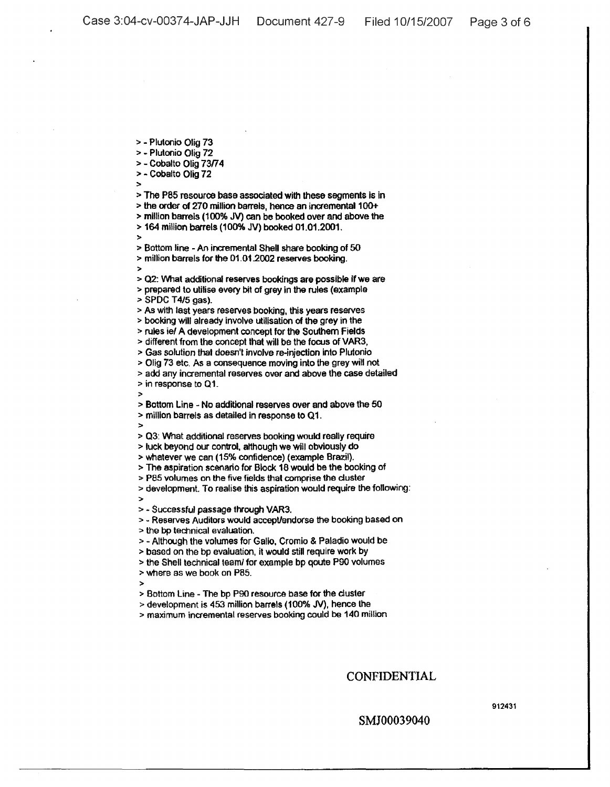> - Plutonio Olig 73

> - Plutonio Olig 72

> - Cobalto Olig *73174*

> Cobalto Olig 72

>

> The P85 resource base associated with these segments is in :> the order of 270 million barrels, hence an incremental 100+

> million barrels (100% JV) can be booked over and above the

> 164 million barrels (100% JV) booked 01.01.2001.

> > Bottom line - An incremental Shell share booking of 50

:> million barrels for the 01.01.2002 reserves booking. :>

:> 02: What additional reserves bookings are possible if we are > prepared to utilise every bit of grey in the rules (example

:> SPDC T4/5 gas).

> As with last years reserves booking, this years reserves

> booking Will already Involve utilisation of the grey in the

> rules ie/ A development concept for the Southern Fields

:> different from the concept that will be the focus ofVAR3,

> Gas solution that doesn't involve re-injection into Plutonio

> Olig 73 etc. As a consequence moving into the grey will not :> add any incremental reserves over and above the case detailed

:> in response to 01.

:> Bottom Line - No additional reserves over and above the 50 :> million barrels as detailed in response to 01.

:>

:>

:>

> 03: What additional reserves booking would really require

:> luck beyond our control, although we will obviously do

> whatever we can (15% confidence) (example Brazil).

> The aspiration scenario for Block 18 would be the booking of

:> pa5 volumes on the five fields that comprise the duster

> development. To realise this aspiration would require the following:

> - Successful passage through VAR3.

:> - Reserves Auditors would accepUendorse the booking based on

:> the bp technical evaluation.

:> - Although the volumes for Galio, Cromio & Paladio would be

> based on the bp evaluation, it would still reqUire work by

> the Shell technical teaml for example bp qoute POO volumes

:> where as we book on P8S.

:>

> Bottom Line - The bp P90 resource base for the duster

> development is 453 million barrels (100% JV), hence the

:> maximum incremental reserves booking could be 140 million

# CONFIDENTIAL

912431

## SMJ00039040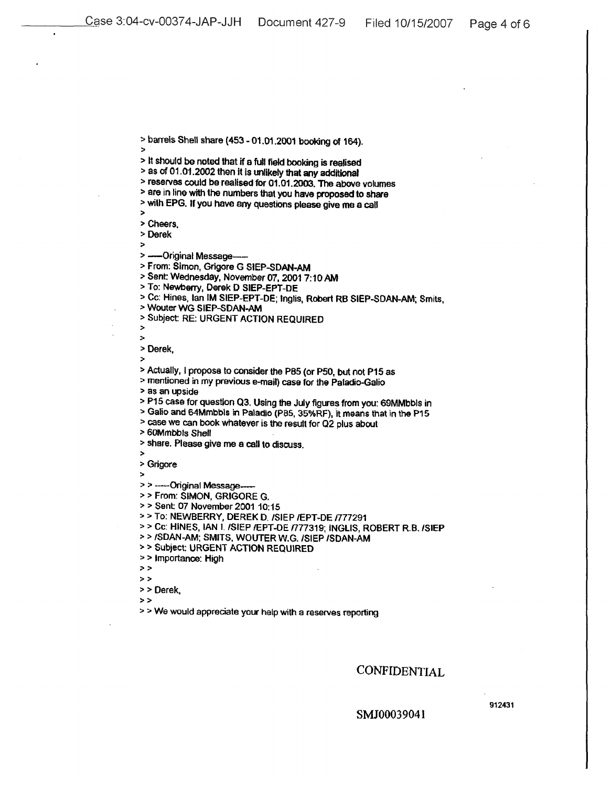> barrels Shell share (453 - 01.01.2001 booking of 164). :>

> It should be noted that if a full field booking is realised

:> as of 01.01.2002 then it is unlikely that any additional

> reserves could be realised for 01.01.2003. The above volumes

:> are in line with the numbers that you have proposed to share

:> with EPG. If you have any questions please give me a call >

> Cheers.

> Derek

> ---- Original Message-

> From: Simon, Grigore G SIEP-SDAN-AM

> Sent: Wednesday, November 07, 2001 7:10 AM

:> To: Newberry, Derek 0 SIEP-EPT-DE

> Cc: Hines, lan IM SIEP-EPT-DE; Inglis, Robert RB SIEP-5DAN-AM; Smits,

> Wouter WG SIEP-SDAN-AM

> Subject: RE: URGENT ACTION REQUIRED

> >

> Derek,

:>

> Actually, I propose to consider the P85 (or P50, but not P15 as

:> mentioned in my previous e-mail) case for the Paladio-Galio

> as an upside

:> P15 case for question 03. Using the July figures from you: 69MMbbls in

:> Galio and 64Mmbbls in Paladio (PBS, 35%RF), It means that in the P15

:> case we can bOok whatever is the result for Q2 plus about

> 60Mmbbls Shell

> share. Please give me a call to discuss.

:> Grigore

:>

>

> > -----Original Message-

> > From: SIMON, GRIGORE G.

> > Sent: 07 November 2001 10:15

> > To: NEWBERRY, DEREK D. /SIEP /EPT-DE /777291

> > Cc: HINES, IAN I. /SIEP /EPT-DE /777319; INGLIS, ROBERT R.B. /SIEP

:> > /SDAN-AM; SMITS. WOUTER W.G. ISIEP ISDAN-AM

> > Subject: URGENT ACTION REQUIRED

> > Importance: High

:»

:>:>

> > Derek. »

> > We would appreciate your help with a reserves reporting

CONFIDENTIAL

SMJ00039041

912431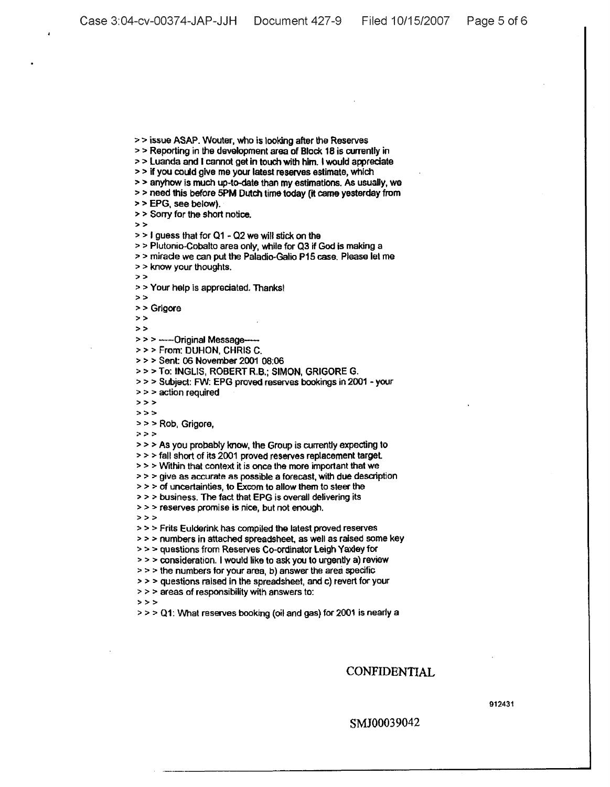>> Reporting in the development area of Block 18 is currently in > > Luanda and I cannot get in touch with him. I would appreciate > > if you could give me your latest reserves estimate, which > > anyhow is much up-to-date than my estimations, As usually, we :> > need this before SPM Dutch time today [It came yesterday from :> > EPG. see belOW). > > Sony for the short notice. :»  $>$  1 guess that for Q1 - Q2 we will stick on the > > Plutonio-Cobalto area only, while for Q3 if God is making a :> > mirade we can put the Paladio-Galio P15 case. Please let me :> > know your thoughts.  $\geq$ :> > Your help is appreciated. Thanks! :» >> Grigore  $>$   $>$  $>$ >>> -----Original Message-:> > > From: DUHON, CHRIS C. :> > > Sent: 06 November 2001 08:06 >>> To: INGLIS, ROBERT R.B.; SIMON, GRIGORE G. > > > Subject: FW: EPG proved reserves bookings in 2001 - your > > > action required  $\rightarrow$   $\rightarrow$  $>$   $>$ > > > Rob, Grigore,  $\geq$  $>$  > As you probably know, the Group is currently expecting to  $>$  >  $>$  fall short of its 2001 proved reserves replacement target.  $\ge$   $>$   $>$  Within that context it is once the more important that we  $\ge$   $>$   $>$  give as accurate as possible a forecast, with due description  $>$  >  $>$  of uncertainties, to Excom to allow them to steer the > > > business. The fact that EPG is overall delivering its  $>$  > reserves promise is nice, but not enough.<br>> > > > > > Frits Eulderink has compiled the latest proved reserves > > > numbers in attached spreadsheet, as well as raised some key > > > questions from Reserves Co-ordinator Leigh Yaxley for > > > consideration. I would like to ask you to urgently a) review > > > the numbers for your area, b) answer the area specific :> > > questions raised in the spreadsheet, and c) tevert for your > > > areas of responsibility with answers to:  $5.5.5$  $>$  >  $>$  Q1: What reserves booking (oil and gas) for 2001 is nearly a

>> issue ASAP. Wouter, who is looking after the Reserves

## CONFIDENTIAL

912431

### SMJ00039042